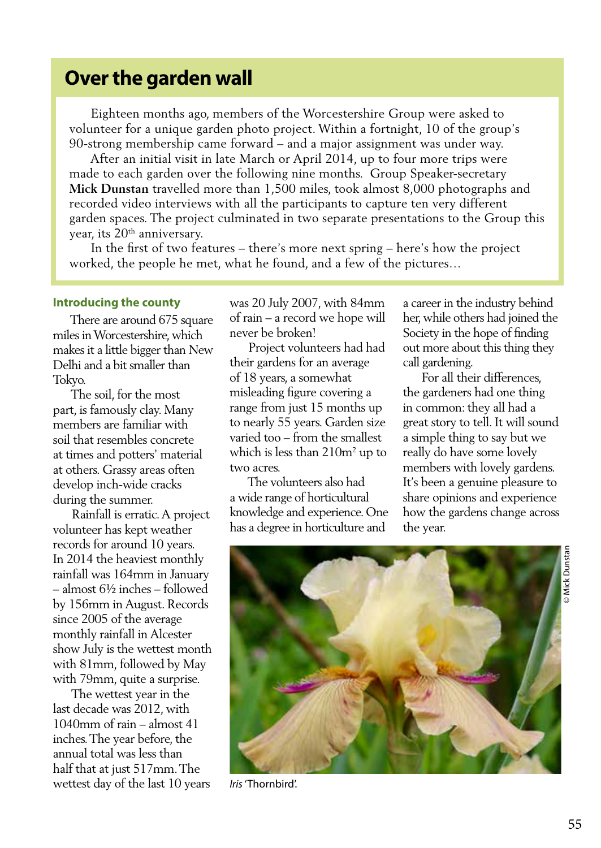# **Over the garden wall**

 Eighteen months ago, members of the Worcestershire Group were asked to volunteer for a unique garden photo project. Within a fortnight, 10 of the group's 90-strong membership came forward – and a major assignment was under way.

 After an initial visit in late March or April 2014, up to four more trips were made to each garden over the following nine months. Group Speaker-secretary **Mick Dunstan** travelled more than 1,500 miles, took almost 8,000 photographs and recorded video interviews with all the participants to capture ten very different garden spaces. The project culminated in two separate presentations to the Group this year, its 20<sup>th</sup> anniversary.

 In the first of two features – there's more next spring – here's how the project worked, the people he met, what he found, and a few of the pictures…

#### **Introducing the county**

 There are around 675 square miles in Worcestershire, which makes it a little bigger than New Delhi and a bit smaller than Tokyo.

 The soil, for the most part, is famously clay. Many members are familiar with soil that resembles concrete at times and potters' material at others. Grassy areas often develop inch-wide cracks during the summer.

 Rainfall is erratic. A project volunteer has kept weather records for around 10 years. In 2014 the heaviest monthly rainfall was 164mm in January – almost 6½ inches – followed by 156mm in August. Records since 2005 of the average monthly rainfall in Alcester show July is the wettest month with 81mm, followed by May with 79mm, quite a surprise.

 The wettest year in the last decade was 2012, with 1040mm of rain – almost 41 inches. The year before, the annual total was less than half that at just 517mm. The wettest day of the last 10 years was 20 July 2007, with 84mm of rain – a record we hope will never be broken!

 Project volunteers had had their gardens for an average of 18 years, a somewhat misleading figure covering a range from just 15 months up to nearly 55 years. Garden size varied too – from the smallest which is less than  $210m^2$  up to two acres.

 The volunteers also had a wide range of horticultural knowledge and experience. One has a degree in horticulture and

a career in the industry behind her, while others had joined the Society in the hope of finding out more about this thing they call gardening.

 For all their differences, the gardeners had one thing in common: they all had a great story to tell. It will sound a simple thing to say but we really do have some lovely members with lovely gardens. It's been a genuine pleasure to share opinions and experience how the gardens change across the year.



*Iris* 'Thornbird'.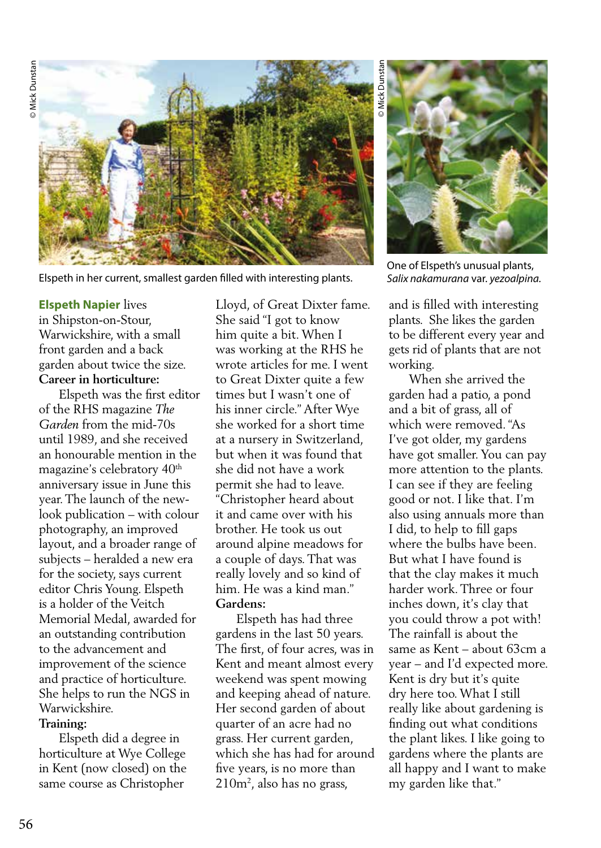

Elspeth in her current, smallest garden filled with interesting plants.

# **Elspeth Napier** lives in Shipston-on-Stour, Warwickshire, with a small

front garden and a back garden about twice the size. **Career in horticulture:**

 Elspeth was the first editor of the RHS magazine *The Garden* from the mid-70s until 1989, and she received an honourable mention in the magazine's celebratory 40<sup>th</sup> anniversary issue in June this year. The launch of the newlook publication – with colour photography, an improved layout, and a broader range of subjects – heralded a new era for the society, says current editor Chris Young. Elspeth is a holder of the Veitch Memorial Medal, awarded for an outstanding contribution to the advancement and improvement of the science and practice of horticulture. She helps to run the NGS in Warwickshire.

# **Training:**

 Elspeth did a degree in horticulture at Wye College in Kent (now closed) on the same course as Christopher

Lloyd, of Great Dixter fame. She said "I got to know him quite a bit. When I was working at the RHS he wrote articles for me. I went to Great Dixter quite a few times but I wasn't one of his inner circle." After Wye she worked for a short time at a nursery in Switzerland, but when it was found that she did not have a work permit she had to leave. "Christopher heard about it and came over with his brother. He took us out around alpine meadows for a couple of days. That was really lovely and so kind of him. He was a kind man." **Gardens:** 

 Elspeth has had three gardens in the last 50 years. The first, of four acres, was in Kent and meant almost every weekend was spent mowing and keeping ahead of nature. Her second garden of about quarter of an acre had no grass. Her current garden, which she has had for around five years, is no more than 210m2 , also has no grass,

© Mick Dunstan **Dunstal** 



One of Elspeth's unusual plants, *Salix nakamurana* var. *yezoalpina.* 

and is filled with interesting plants. She likes the garden to be different every year and gets rid of plants that are not working.

 When she arrived the garden had a patio, a pond and a bit of grass, all of which were removed. "As I've got older, my gardens have got smaller. You can pay more attention to the plants. I can see if they are feeling good or not. I like that. I'm also using annuals more than I did, to help to fill gaps where the bulbs have been. But what I have found is that the clay makes it much harder work. Three or four inches down, it's clay that you could throw a pot with! The rainfall is about the same as Kent – about 63cm a year – and I'd expected more. Kent is dry but it's quite dry here too. What I still really like about gardening is finding out what conditions the plant likes. I like going to gardens where the plants are all happy and I want to make my garden like that."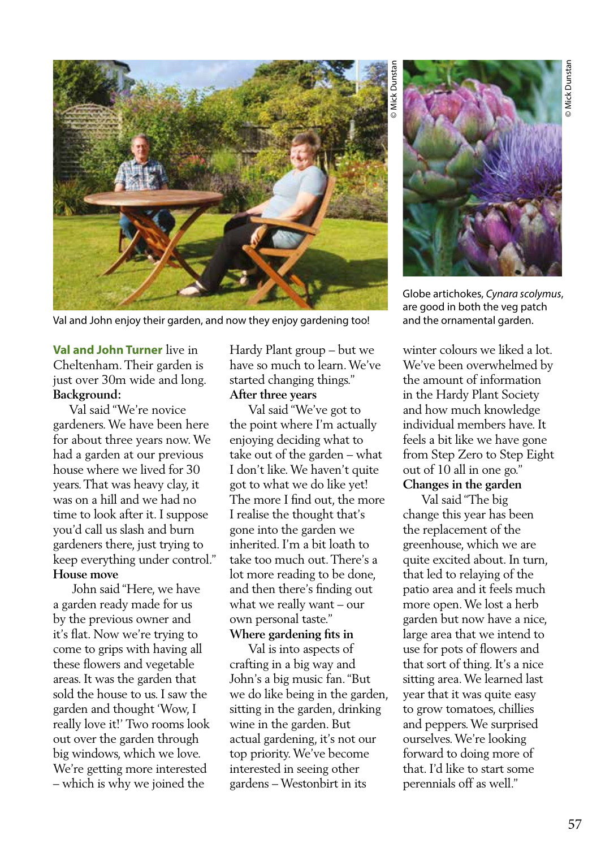

Val and John enjoy their garden, and now they enjoy gardening too!

**Val and John Turner** live in Cheltenham. Their garden is just over 30m wide and long. **Background:**

 Val said "We're novice gardeners. We have been here for about three years now. We had a garden at our previous house where we lived for 30 years. That was heavy clay, it was on a hill and we had no time to look after it. I suppose you'd call us slash and burn gardeners there, just trying to keep everything under control." **House move**

 John said "Here, we have a garden ready made for us by the previous owner and it's flat. Now we're trying to come to grips with having all these flowers and vegetable areas. It was the garden that sold the house to us. I saw the garden and thought 'Wow, I really love it!' Two rooms look out over the garden through big windows, which we love. We're getting more interested – which is why we joined the

Hardy Plant group – but we have so much to learn. We've started changing things." **After three years**

 Val said "We've got to the point where I'm actually enjoying deciding what to take out of the garden – what I don't like. We haven't quite got to what we do like yet! The more I find out, the more I realise the thought that's gone into the garden we inherited. I'm a bit loath to take too much out. There's a lot more reading to be done, and then there's finding out what we really want – our own personal taste."

**Where gardening fits in**

 Val is into aspects of crafting in a big way and John's a big music fan. "But we do like being in the garden, sitting in the garden, drinking wine in the garden. But actual gardening, it's not our top priority. We've become interested in seeing other gardens – Westonbirt in its



Globe artichokes, *Cynara scolymus*, are good in both the veg patch and the ornamental garden.

winter colours we liked a lot. We've been overwhelmed by the amount of information in the Hardy Plant Society and how much knowledge individual members have. It feels a bit like we have gone from Step Zero to Step Eight out of 10 all in one go." **Changes in the garden**

 Val said "The big change this year has been the replacement of the greenhouse, which we are quite excited about. In turn, that led to relaying of the patio area and it feels much more open. We lost a herb garden but now have a nice, large area that we intend to use for pots of flowers and that sort of thing. It's a nice sitting area. We learned last year that it was quite easy to grow tomatoes, chillies and peppers. We surprised ourselves. We're looking forward to doing more of that. I'd like to start some perennials off as well."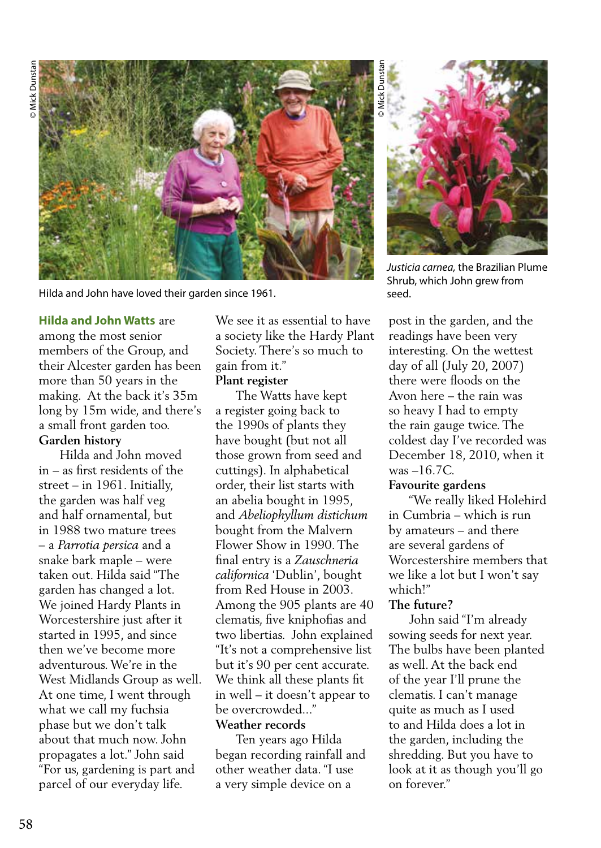

Hilda and John have loved their garden since 1961.

#### **Hilda and John Watts** are

among the most senior members of the Group, and their Alcester garden has been more than 50 years in the making. At the back it's 35m long by 15m wide, and there's a small front garden too. **Garden history**

 Hilda and John moved in – as first residents of the street – in 1961. Initially, the garden was half veg and half ornamental, but in 1988 two mature trees – a *Parrotia persica* and a snake bark maple – were taken out. Hilda said "The garden has changed a lot. We joined Hardy Plants in Worcestershire just after it started in 1995, and since then we've become more adventurous. We're in the West Midlands Group as well. At one time, I went through what we call my fuchsia phase but we don't talk about that much now. John propagates a lot." John said "For us, gardening is part and parcel of our everyday life.

We see it as essential to have a society like the Hardy Plant Society. There's so much to gain from it."

#### **Plant register**

 The Watts have kept a register going back to the 1990s of plants they have bought (but not all those grown from seed and cuttings). In alphabetical order, their list starts with an abelia bought in 1995, and *Abeliophyllum distichum*  bought from the Malvern Flower Show in 1990. The final entry is a *Zauschneria californica* 'Dublin', bought from Red House in 2003. Among the 905 plants are 40 clematis, five kniphofias and two libertias. John explained "It's not a comprehensive list but it's 90 per cent accurate. We think all these plants fit in well – it doesn't appear to be overcrowded..."

# **Weather records**

 Ten years ago Hilda began recording rainfall and other weather data. "I use a very simple device on a



*Justicia carnea,* the Brazilian Plume Shrub, which John grew from seed.

post in the garden, and the readings have been very interesting. On the wettest day of all (July 20, 2007) there were floods on the Avon here – the rain was so heavy I had to empty the rain gauge twice. The coldest day I've recorded was December 18, 2010, when it was –16.7C.

#### **Favourite gardens**

 "We really liked Holehird in Cumbria – which is run by amateurs – and there are several gardens of Worcestershire members that we like a lot but I won't say which!"

### **The future?**

 John said "I'm already sowing seeds for next year. The bulbs have been planted as well. At the back end of the year I'll prune the clematis. I can't manage quite as much as I used to and Hilda does a lot in the garden, including the shredding. But you have to look at it as though you'll go on forever."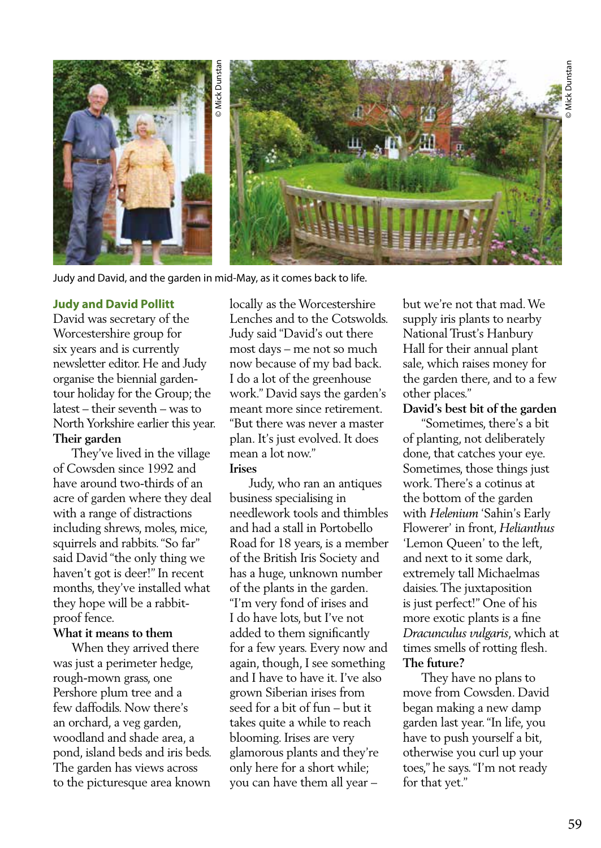

# **Judy and David Pollitt**

David was secretary of the Worcestershire group for six years and is currently newsletter editor. He and Judy organise the biennial gardentour holiday for the Group; the latest – their seventh – was to North Yorkshire earlier this year. **Their garden**

 They've lived in the village of Cowsden since 1992 and have around two-thirds of an acre of garden where they deal with a range of distractions including shrews, moles, mice, squirrels and rabbits. "So far" said David "the only thing we haven't got is deer!" In recent months, they've installed what they hope will be a rabbitproof fence.

# **What it means to them**

 When they arrived there was just a perimeter hedge, rough-mown grass, one Pershore plum tree and a few daffodils. Now there's an orchard, a veg garden, woodland and shade area, a pond, island beds and iris beds. The garden has views across to the picturesque area known locally as the Worcestershire Lenches and to the Cotswolds. Judy said "David's out there most days – me not so much now because of my bad back. I do a lot of the greenhouse work." David says the garden's meant more since retirement. "But there was never a master plan. It's just evolved. It does mean a lot now."

### **Irises**

 Judy, who ran an antiques business specialising in needlework tools and thimbles and had a stall in Portobello Road for 18 years, is a member of the British Iris Society and has a huge, unknown number of the plants in the garden. "I'm very fond of irises and I do have lots, but I've not added to them significantly for a few years. Every now and again, though, I see something and I have to have it. I've also grown Siberian irises from seed for a bit of fun – but it takes quite a while to reach blooming. Irises are very glamorous plants and they're only here for a short while; you can have them all year –

but we're not that mad. We supply iris plants to nearby National Trust's Hanbury Hall for their annual plant sale, which raises money for the garden there, and to a few other places."

# **David's best bit of the garden**

 "Sometimes, there's a bit of planting, not deliberately done, that catches your eye. Sometimes, those things just work. There's a cotinus at the bottom of the garden with *Helenium* 'Sahin's Early Flowerer' in front, *Helianthus*  'Lemon Queen' to the left, and next to it some dark, extremely tall Michaelmas daisies. The juxtaposition is just perfect!" One of his more exotic plants is a fine *Dracunculus vulgaris*, which at times smells of rotting flesh. **The future?**

 They have no plans to move from Cowsden. David began making a new damp garden last year. "In life, you have to push yourself a bit, otherwise you curl up your toes," he says. "I'm not ready for that yet."